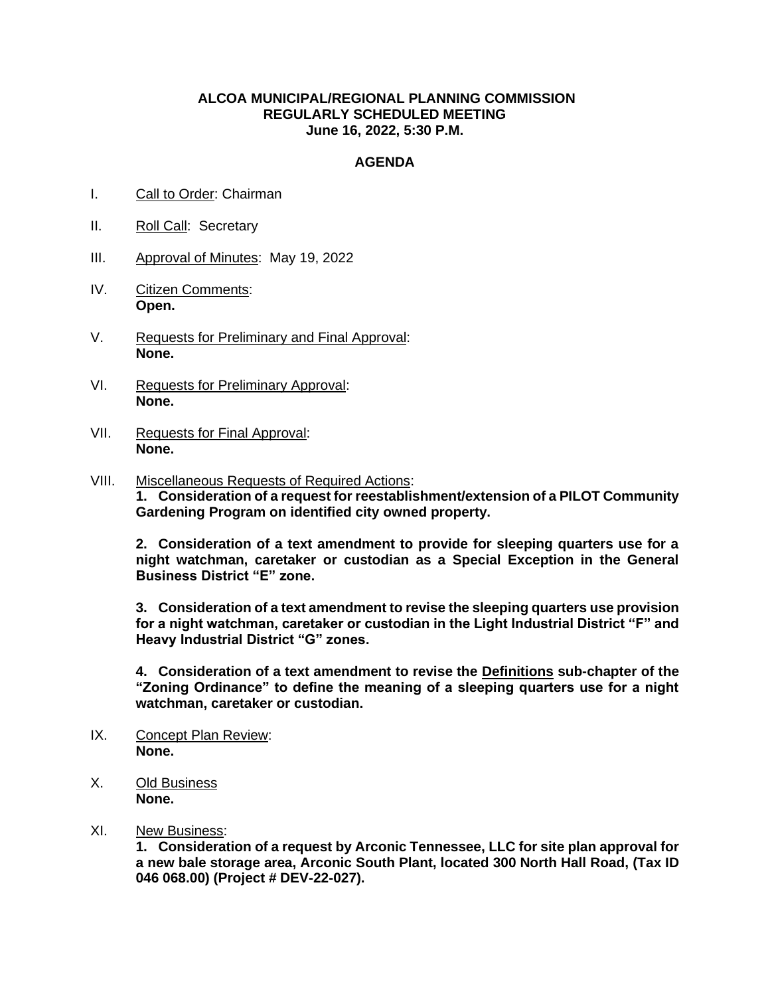## **ALCOA MUNICIPAL/REGIONAL PLANNING COMMISSION REGULARLY SCHEDULED MEETING June 16, 2022, 5:30 P.M.**

## **AGENDA**

- I. Call to Order: Chairman
- II. Roll Call: Secretary
- III. Approval of Minutes: May 19, 2022
- IV. Citizen Comments: **Open.**
- V. Requests for Preliminary and Final Approval: **None.**
- VI. Requests for Preliminary Approval: **None.**
- VII. Requests for Final Approval: **None.**
- VIII. Miscellaneous Requests of Required Actions: **1. Consideration of a request for reestablishment/extension of a PILOT Community Gardening Program on identified city owned property.**

**2. Consideration of a text amendment to provide for sleeping quarters use for a night watchman, caretaker or custodian as a Special Exception in the General Business District "E" zone.**

**3. Consideration of a text amendment to revise the sleeping quarters use provision for a night watchman, caretaker or custodian in the Light Industrial District "F" and Heavy Industrial District "G" zones.**

**4. Consideration of a text amendment to revise the Definitions sub-chapter of the "Zoning Ordinance" to define the meaning of a sleeping quarters use for a night watchman, caretaker or custodian.**

- IX. Concept Plan Review: **None.**
- X. Old Business **None.**
- XI. New Business:

**1. Consideration of a request by Arconic Tennessee, LLC for site plan approval for a new bale storage area, Arconic South Plant, located 300 North Hall Road, (Tax ID 046 068.00) (Project # DEV-22-027).**